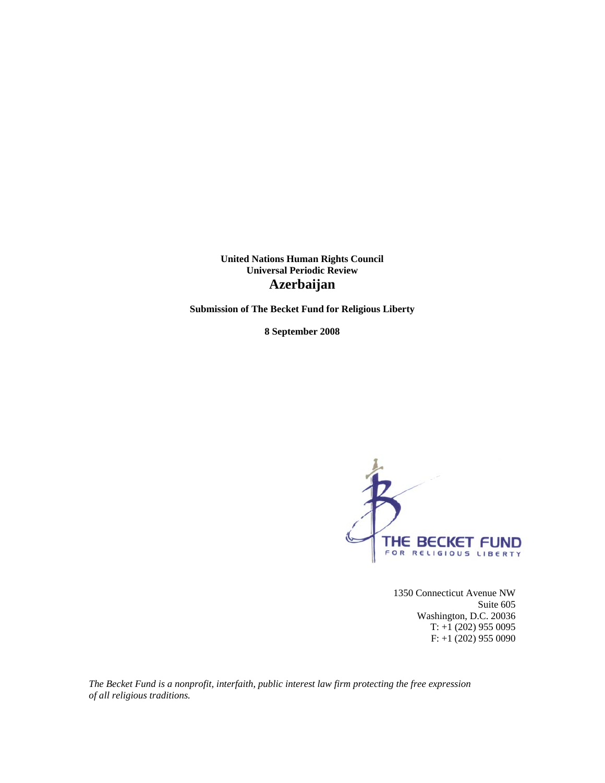**United Nations Human Rights Council Universal Periodic Review Azerbaijan** 

**Submission of The Becket Fund for Religious Liberty** 

**8 September 2008** 



1350 Connecticut Avenue NW Suite 605 Washington, D.C. 20036 T: +1 (202) 955 0095 F: +1 (202) 955 0090

*The Becket Fund is a nonprofit, interfaith, public interest law firm protecting the free expression of all religious traditions.*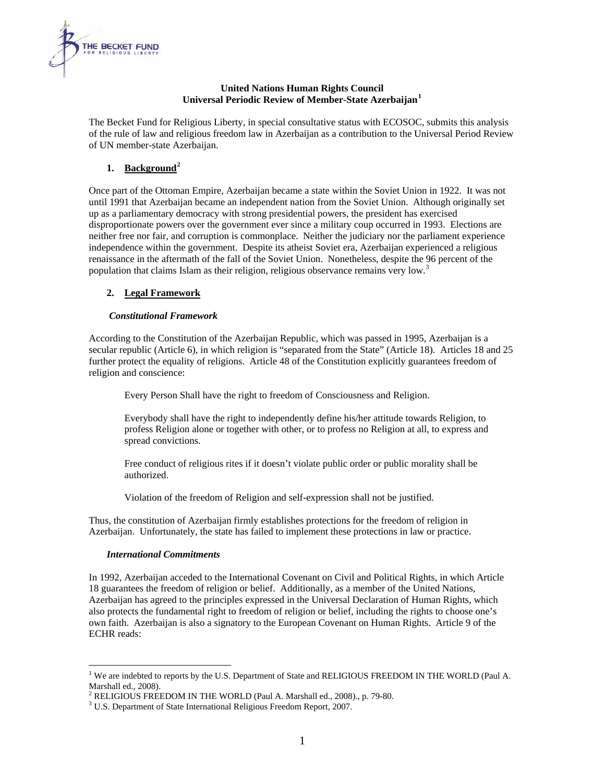

#### **United Nations Human Rights Council Universal Periodic Review of Member-State Azerbaijan[1](#page-1-0)**

The Becket Fund for Religious Liberty, in special consultative status with ECOSOC, submits this analysis of the rule of law and religious freedom law in Azerbaijan as a contribution to the Universal Period Review of UN member-state Azerbaijan.

# **1. Background[2](#page-1-1)**

Once part of the Ottoman Empire, Azerbaijan became a state within the Soviet Union in 1922. It was not until 1991 that Azerbaijan became an independent nation from the Soviet Union. Although originally set up as a parliamentary democracy with strong presidential powers, the president has exercised disproportionate powers over the government ever since a military coup occurred in 1993. Elections are neither free nor fair, and corruption is commonplace. Neither the judiciary nor the parliament experience independence within the government. Despite its atheist Soviet era, Azerbaijan experienced a religious renaissance in the aftermath of the fall of the Soviet Union. Nonetheless, despite the 96 percent of the population that claims Islam as their religion, religious observance remains very low.<sup>[3](#page-1-2)</sup>

# **2. Legal Framework**

# *Constitutional Framework*

According to the Constitution of the Azerbaijan Republic, which was passed in 1995, Azerbaijan is a secular republic (Article 6), in which religion is "separated from the State" (Article 18). Articles 18 and 25 further protect the equality of religions. Article 48 of the Constitution explicitly guarantees freedom of religion and conscience:

Every Person Shall have the right to freedom of Consciousness and Religion.

Everybody shall have the right to independently define his/her attitude towards Religion, to profess Religion alone or together with other, or to profess no Religion at all, to express and spread convictions.

Free conduct of religious rites if it doesn't violate public order or public morality shall be authorized.

Violation of the freedom of Religion and self-expression shall not be justified.

Thus, the constitution of Azerbaijan firmly establishes protections for the freedom of religion in Azerbaijan. Unfortunately, the state has failed to implement these protections in law or practice.

# *International Commitments*

 $\overline{a}$ 

In 1992, Azerbaijan acceded to the International Covenant on Civil and Political Rights, in which Article 18 guarantees the freedom of religion or belief. Additionally, as a member of the United Nations, Azerbaijan has agreed to the principles expressed in the Universal Declaration of Human Rights, which also protects the fundamental right to freedom of religion or belief, including the rights to choose one's own faith. Azerbaijan is also a signatory to the European Covenant on Human Rights. Article 9 of the ECHR reads:

<span id="page-1-0"></span><sup>&</sup>lt;sup>1</sup> We are indebted to reports by the U.S. Department of State and RELIGIOUS FREEDOM IN THE WORLD (Paul A. Marshall ed., 2008).

<span id="page-1-1"></span><sup>&</sup>lt;sup>2</sup> RELIGIOUS FREEDOM IN THE WORLD (Paul A. Marshall ed., 2008)., p. 79-80.

<span id="page-1-2"></span>U.S. Department of State International Religious Freedom Report, 2007.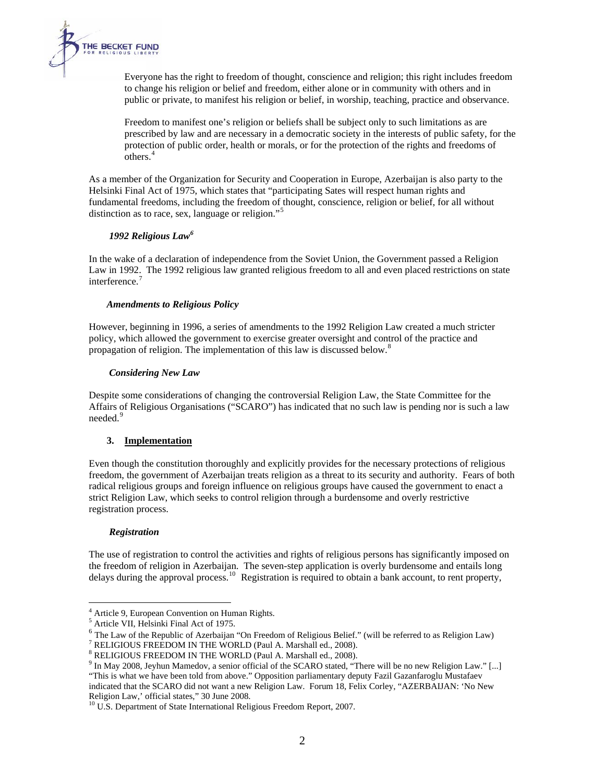

Everyone has the right to freedom of thought, conscience and religion; this right includes freedom to change his religion or belief and freedom, either alone or in community with others and in public or private, to manifest his religion or belief, in worship, teaching, practice and observance.

Freedom to manifest one's religion or beliefs shall be subject only to such limitations as are prescribed by law and are necessary in a democratic society in the interests of public safety, for the protection of public order, health or morals, or for the protection of the rights and freedoms of others.[4](#page-2-0)

As a member of the Organization for Security and Cooperation in Europe, Azerbaijan is also party to the Helsinki Final Act of 1975, which states that "participating Sates will respect human rights and fundamental freedoms, including the freedom of thought, conscience, religion or belief, for all without distinction as to race, sex, language or religion."<sup>[5](#page-2-1)</sup>

# *1992 Religious Law[6](#page-2-2)*

In the wake of a declaration of independence from the Soviet Union, the Government passed a Religion Law in 1992. The 1992 religious law granted religious freedom to all and even placed restrictions on state interference.<sup>[7](#page-2-3)</sup>

## *Amendments to Religious Policy*

However, beginning in 1996, a series of amendments to the 1992 Religion Law created a much stricter policy, which allowed the government to exercise greater oversight and control of the practice and propagation of religion. The implementation of this law is discussed below.<sup>[8](#page-2-4)</sup>

## *Considering New Law*

Despite some considerations of changing the controversial Religion Law, the State Committee for the Affairs of Religious Organisations ("SCARO") has indicated that no such law is pending nor is such a law needed.<sup>[9](#page-2-5)</sup>

# **3. Implementation**

Even though the constitution thoroughly and explicitly provides for the necessary protections of religious freedom, the government of Azerbaijan treats religion as a threat to its security and authority. Fears of both radical religious groups and foreign influence on religious groups have caused the government to enact a strict Religion Law, which seeks to control religion through a burdensome and overly restrictive registration process.

#### *Registration*

 $\overline{a}$ 

The use of registration to control the activities and rights of religious persons has significantly imposed on the freedom of religion in Azerbaijan. The seven-step application is overly burdensome and entails long delays during the approval process.<sup>[10](#page-2-6)</sup> Registration is required to obtain a bank account, to rent property,

 $^{4}$  Article 9, European Convention on Human Rights.

<span id="page-2-1"></span><span id="page-2-0"></span><sup>&</sup>lt;sup>5</sup> Article VII, Helsinki Final Act of 1975.

<span id="page-2-2"></span><sup>6</sup> The Law of the Republic of Azerbaijan "On Freedom of Religious Belief." (will be referred to as Religion Law) 7

<span id="page-2-3"></span> $\frac{7}{1}$  RELIGIOUS FREEDOM IN THE WORLD (Paul A. Marshall ed., 2008).

<span id="page-2-4"></span> $8$  RELIGIOUS FREEDOM IN THE WORLD (Paul A. Marshall ed., 2008).

<span id="page-2-5"></span><sup>&</sup>lt;sup>9</sup> In May 2008, Jeyhun Mamedov, a senior official of the SCARO stated, "There will be no new Religion Law." [...] "This is what we have been told from above." Opposition parliamentary deputy Fazil Gazanfaroglu Mustafaev indicated that the SCARO did not want a new Religion Law. Forum 18, Felix Corley, "AZERBAIJAN: 'No New

<span id="page-2-6"></span>Religion Law,' official states," 30 June 2008.<br><sup>10</sup> U.S. Department of State International Religious Freedom Report, 2007.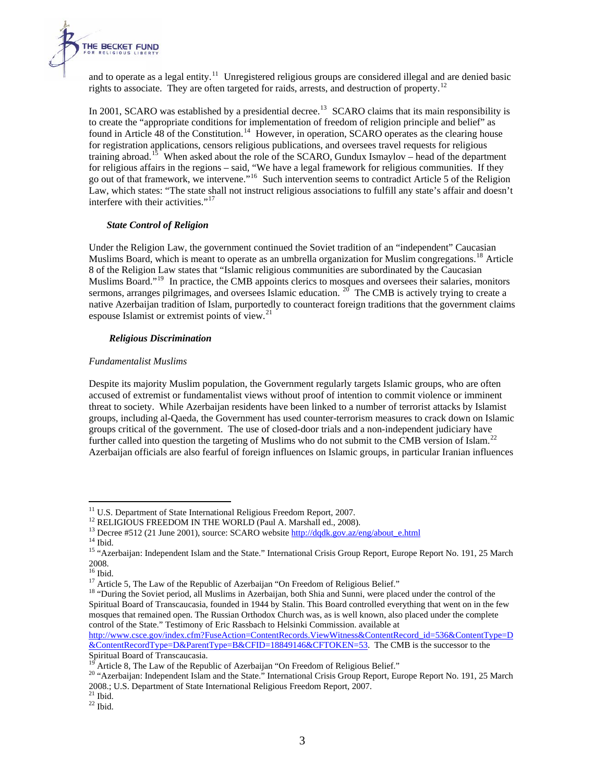

and to operate as a legal entity.<sup>[11](#page-3-0)</sup> Unregistered religious groups are considered illegal and are denied basic rights to associate. They are often targeted for raids, arrests, and destruction of property.<sup>[12](#page-3-1)</sup>

In 2001, SCARO was established by a presidential decree.<sup>[13](#page-3-2)</sup> SCARO claims that its main responsibility is to create the "appropriate conditions for implementation of freedom of religion principle and belief" as found in Article 48 of the Constitution.<sup>[14](#page-3-3)</sup> However, in operation, SCARO operates as the clearing house for registration applications, censors religious publications, and oversees travel requests for religious training abroad.<sup>[15](#page-3-4)</sup> When asked about the role of the SCARO, Gundux Ismaylov – head of the department for religious affairs in the regions – said, "We have a legal framework for religious communities. If they go out of that framework, we intervene."[16](#page-3-5) Such intervention seems to contradict Article 5 of the Religion Law, which states: "The state shall not instruct religious associations to fulfill any state's affair and doesn't interfere with their activities."<sup>[17](#page-3-6)</sup>

# *State Control of Religion*

Under the Religion Law, the government continued the Soviet tradition of an "independent" Caucasian Muslims Board, which is meant to operate as an umbrella organization for Muslim congregations.<sup>[18](#page-3-7)</sup> Article 8 of the Religion Law states that "Islamic religious communities are subordinated by the Caucasian Muslims Board."[19](#page-3-8) In practice, the CMB appoints clerics to mosques and oversees their salaries, monitors sermons, arranges pilgrimages, and oversees Islamic education. <sup>[20](#page-3-9)</sup> The CMB is actively trying to create a native Azerbaijan tradition of Islam, purportedly to counteract foreign traditions that the government claims espouse Islamist or extremist points of view.[21](#page-3-10)

## *Religious Discrimination*

## *Fundamentalist Muslims*

Despite its majority Muslim population, the Government regularly targets Islamic groups, who are often accused of extremist or fundamentalist views without proof of intention to commit violence or imminent threat to society. While Azerbaijan residents have been linked to a number of terrorist attacks by Islamist groups, including al-Qaeda, the Government has used counter-terrorism measures to crack down on Islamic groups critical of the government. The use of closed-door trials and a non-independent judiciary have further called into question the targeting of Muslims who do not submit to the CMB version of Islam.<sup>[22](#page-3-11)</sup> Azerbaijan officials are also fearful of foreign influences on Islamic groups, in particular Iranian influences

1

<span id="page-3-2"></span>

<span id="page-3-1"></span><span id="page-3-0"></span><sup>&</sup>lt;sup>11</sup> U.S. Department of State International Religious Freedom Report, 2007.<br><sup>12</sup> RELIGIOUS FREEDOM IN THE WORLD (Paul A. Marshall ed., 2008).<br><sup>13</sup> Decree #512 (21 June 2001), source: SCARO website  $\frac{http://dqdk.gov.az/eng/about e.html}{http://dqdk.gov.$ 

<span id="page-3-4"></span><span id="page-3-3"></span><sup>&</sup>lt;sup>15</sup> "Azerbaijan: Independent Islam and the State." International Crisis Group Report, Europe Report No. 191, 25 March 2008.

<span id="page-3-5"></span><sup>&</sup>lt;sup>16</sup> Ibid.<br><sup>17</sup> Article 5, The Law of the Republic of Azerbaijan "On Freedom of Religious Belief."

<span id="page-3-7"></span><span id="page-3-6"></span><sup>&</sup>lt;sup>18</sup> "During the Soviet period, all Muslims in Azerbaijan, both Shia and Sunni, were placed under the control of the Spiritual Board of Transcaucasia, founded in 1944 by Stalin. This Board controlled everything that went on in the few mosques that remained open. The Russian Orthodox Church was, as is well known, also placed under the complete control of the State." Testimony of Eric Rassbach to Helsinki Commission. available at

[http://www.csce.gov/index.cfm?FuseAction=ContentRecords.ViewWitness&ContentRecord\\_id=536&ContentType=D](http://www.csce.gov/index.cfm?FuseAction=ContentRecords.ViewWitness&ContentRecord_id=536&ContentType=D&ContentRecordType=D&ParentType=B&CFID=18849146&CFTOKEN=53) [&ContentRecordType=D&ParentType=B&CFID=18849146&CFTOKEN=53](http://www.csce.gov/index.cfm?FuseAction=ContentRecords.ViewWitness&ContentRecord_id=536&ContentType=D&ContentRecordType=D&ParentType=B&CFID=18849146&CFTOKEN=53). The CMB is the successor to the Spiritual Board of Transcaucasia.<br><sup>19</sup> Article 8, The Law of the Republic of Azerbaijan "On Freedom of Religious Belief."

<span id="page-3-9"></span><span id="page-3-8"></span><sup>&</sup>lt;sup>20</sup> "Azerbaijan: Independent Islam and the State." International Crisis Group Report, Europe Report No. 191, 25 March 2008.; U.S. Department of State International Religious Freedom Report, 2007. 21 Ibid.

<span id="page-3-10"></span>

<span id="page-3-11"></span> $22$  Ibid.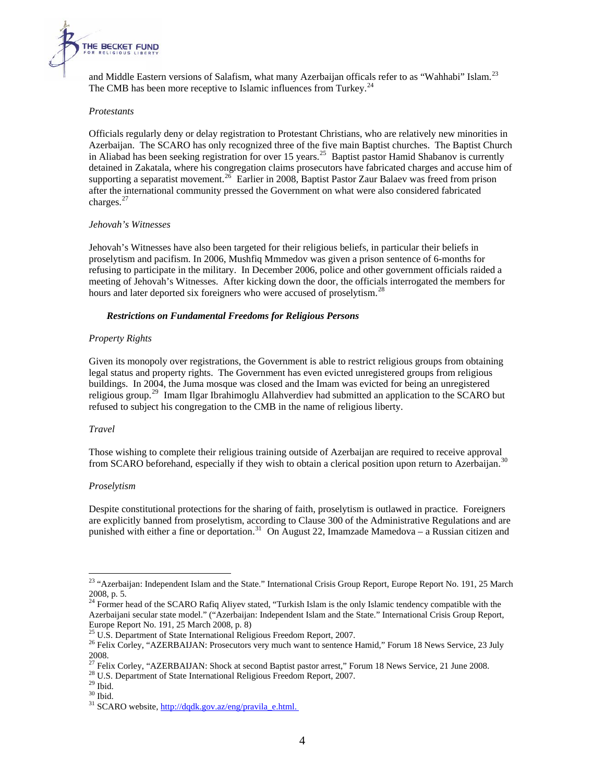

and Middle Eastern versions of Salafism, what many Azerbaijan officals refer to as "Wahhabi" Islam.<sup>[23](#page-4-0)</sup> The CMB has been more receptive to Islamic influences from Turkey.<sup>[24](#page-4-1)</sup>

#### *Protestants*

Officials regularly deny or delay registration to Protestant Christians, who are relatively new minorities in Azerbaijan. The SCARO has only recognized three of the five main Baptist churches. The Baptist Church in Aliabad has been seeking registration for over 15 years.<sup>[25](#page-4-2)</sup> Baptist pastor Hamid Shabanov is currently detained in Zakatala, where his congregation claims prosecutors have fabricated charges and accuse him of supporting a separatist movement.<sup>[26](#page-4-3)</sup> Earlier in 2008, Baptist Pastor Zaur Balaev was freed from prison after the international community pressed the Government on what were also considered fabricated charges.<sup>[27](#page-4-4)</sup>

#### *Jehovah's Witnesses*

Jehovah's Witnesses have also been targeted for their religious beliefs, in particular their beliefs in proselytism and pacifism. In 2006, Mushfiq Mmmedov was given a prison sentence of 6-months for refusing to participate in the military. In December 2006, police and other government officials raided a meeting of Jehovah's Witnesses. After kicking down the door, the officials interrogated the members for hours and later deported six foreigners who were accused of proselytism.<sup>[28](#page-4-5)</sup>

#### *Restrictions on Fundamental Freedoms for Religious Persons*

## *Property Rights*

Given its monopoly over registrations, the Government is able to restrict religious groups from obtaining legal status and property rights. The Government has even evicted unregistered groups from religious buildings. In 2004, the Juma mosque was closed and the Imam was evicted for being an unregistered religious group.<sup>[29](#page-4-6)</sup> Imam Ilgar Ibrahimoglu Allahverdiev had submitted an application to the SCARO but refused to subject his congregation to the CMB in the name of religious liberty.

#### *Travel*

Those wishing to complete their religious training outside of Azerbaijan are required to receive approval from SCARO beforehand, especially if they wish to obtain a clerical position upon return to Azerbaijan.<sup>[30](#page-4-7)</sup>

#### *Proselytism*

Despite constitutional protections for the sharing of faith, proselytism is outlawed in practice. Foreigners are explicitly banned from proselytism, according to Clause 300 of the Administrative Regulations and are punished with either a fine or deportation.<sup>[31](#page-4-8)</sup> [On August 22,](http://dqdk.gov.az/eng/pravila_e.html.%20On%20August%2022) Imamzade Mamedova – a Russian citizen and

<u>.</u>

<span id="page-4-0"></span><sup>&</sup>lt;sup>23</sup> "Azerbaijan: Independent Islam and the State." International Crisis Group Report, Europe Report No. 191, 25 March 2008, p. 5.

<span id="page-4-1"></span><sup>&</sup>lt;sup>24</sup> Former head of the SCARO Rafiq Aliyev stated, "Turkish Islam is the only Islamic tendency compatible with the Azerbaijani secular state model." ("Azerbaijan: Independent Islam and the State." International Crisis Group Report, Europe Report No. 191, 25 March 2008, p. 8)<br><sup>25</sup> U.S. Department of State International Religious Freedom Report, 2007.

<span id="page-4-3"></span><span id="page-4-2"></span><sup>&</sup>lt;sup>26</sup> Felix Corley, "AZERBAIJAN: Prosecutors very much want to sentence Hamid," Forum 18 News Service, 23 July 2008.

<span id="page-4-4"></span><sup>&</sup>lt;sup>27</sup> Felix Corley, "AZERBAIJAN: Shock at second Baptist pastor arrest," Forum 18 News Service, 21 June 2008.<br><sup>28</sup> U.S. Department of State International Religious Freedom Report, 2007.<br><sup>29</sup> Ibid.

<span id="page-4-5"></span>

<span id="page-4-6"></span>

<span id="page-4-7"></span> $\rm^{30}$  Ibid.

<span id="page-4-8"></span><sup>&</sup>lt;sup>31</sup> SCARO website, http://dqdk.gov.az/eng/pravila\_e.html.